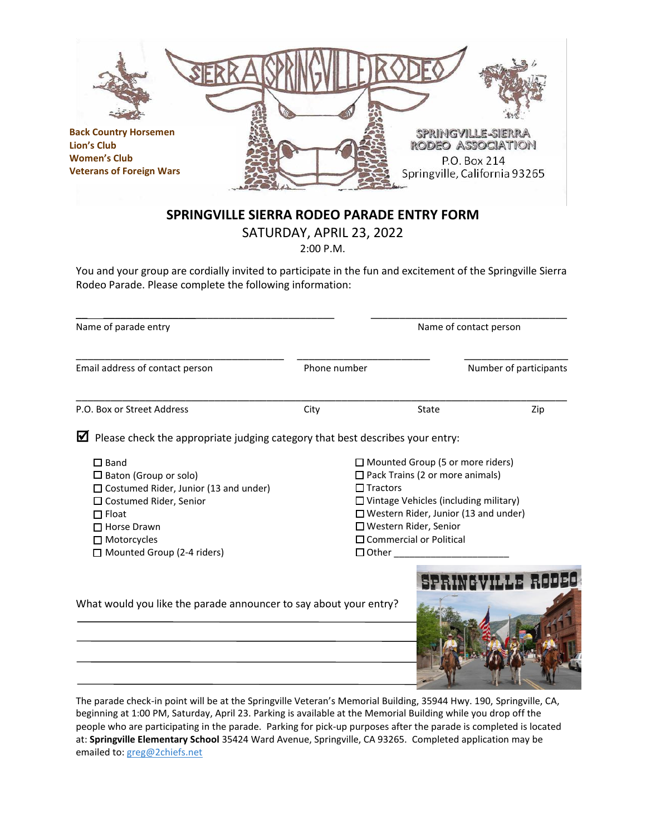

people who are participating in the parade. Parking for pick-up purposes after the parade is completed is located at: **Springville Elementary School** 35424 Ward Avenue, Springville, CA 93265. Completed application may be emailed to[: greg@2chiefs.net](mailto:greg@2chiefs.net)